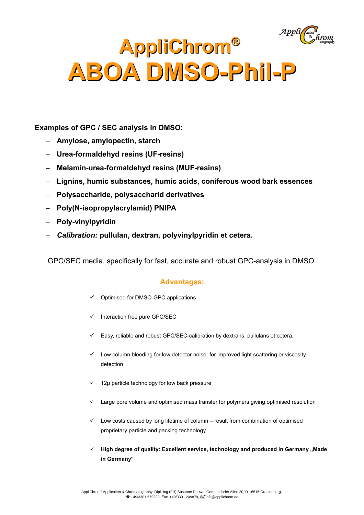# **AppliChrom® ABOA DMSO-Phil-P**

**Examples of GPC / SEC analysis in DMSO:**

- **Amylose, amylopectin, starch**
- **Urea-formaldehyd resins (UF-resins)**
- **Melamin-urea-formaldehyd resins (MUF-resins)**
- **Lignins, humic substances, humic acids, coniferous wood bark essences**
- **Polysaccharide, polysaccharid derivatives**
- **Poly(N-isopropylacrylamid) PNIPA**
- **Poly-vinylpyridin**
- *Calibration:* **pullulan, dextran, polyvinylpyridin et cetera.**

GPC/SEC media, specifically for fast, accurate and robust GPC-analysis in DMSO

# **Advantages:**

- $\checkmark$  Optimised for DMSO-GPC applications
- $\checkmark$  Interaction free pure GPC/SEC
- $\checkmark$  Easy, reliable and robust GPC/SEC-calibration by dextrans, pullulans et cetera.
- $\checkmark$  Low column bleeding for low detector noise: for improved light scattering or viscosity detection
- $\checkmark$  12µ particle technology for low back pressure
- $\checkmark$  Large pore volume and optimised mass transfer for polymers giving optimised resolution
- $\checkmark$  Low costs caused by long lifetime of column result from combination of optimised proprietary particle and packing technology
- **High degree of quality: Excellent service, technology and produced in Germany "Made in Germany"**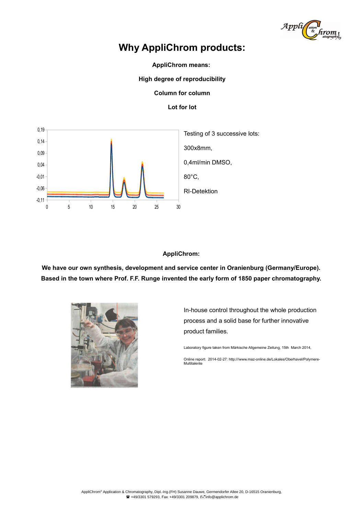

# **Why AppliChrom products:**

**AppliChrom means:** 

**High degree of reproducibility**

**Column for column**

## **Lot for lot**



## **AppliChrom:**

**We have our own synthesis, development and service center in Oranienburg (Germany/Europe). Based in the town where Prof. F.F. Runge invented the early form of 1850 paper chromatography.** 



In-house control throughout the whole production process and a solid base for further innovative product families.

Laboratory figure taken from Märkische Allgemeine Zeitung, 15th March 2014,

Online report: 2014-02-27: http:///www.maz-online.de/Lokales/Oberhavel/Polymere-Multitalente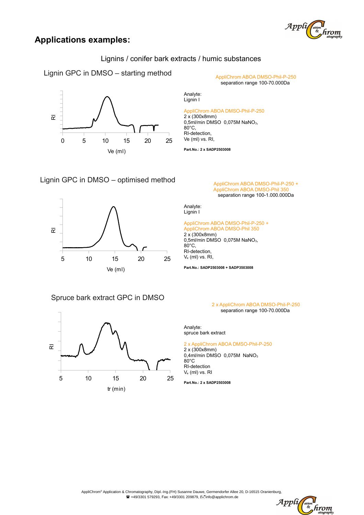

# **Applications examples:**

Lignins / conifer bark extracts / humic substances

Lignin GPC in DMSO  $-$  starting method  $APD$  AppliChrom ABOA DMSO-Phil-P-250



separation range 100-70.000Da

Analyte: Lignin I

#### AppliChrom ABOA DMSO-Phil-P-250

2 x (300x8mm) 0,5ml/min DMSO 0,075M NaNO3, 80°C, RI-detection, Ve (ml) vs. RI,

**Part.No.: 2 x SADP2503008**

# Lignin GPC in DMSO – optimised method  $\overline{Applichrom ABOA DMSO-Phi-Phi-P-250 +}$



# Spruce bark extract GPC in DMSO



AppliChrom ABOA DMSO-Phil 35 separation range 100-1.000.000Da

Analyte: Lignin I

#### AppliChrom ABOA DMSO-Phil-P-250 + AppliChrom ABOA DMSO-Phil 350

2 x (300x8mm)  $0,5$ ml/min DMSO  $0,075M$  NaNO<sub>3</sub>,  $80^{\circ}$ C. RI-detection, Ve (ml) vs. RI,

**Part.No.: SADP2503008 + SADP3503008**

#### 2 x AppliChrom ABOA DMSO-Phil-P-250 separation range 100-70.000Da

Analyte: spruce bark extract

### 2 x AppliChrom ABOA DMSO-Phil-P-250

2 x (300x8mm) 0,4ml/min DMSO 0,075M NaNO<sup>3</sup> 80°C RI-detection Ve (ml) vs. RI

**Part.No.: 2 x SADP2503008**

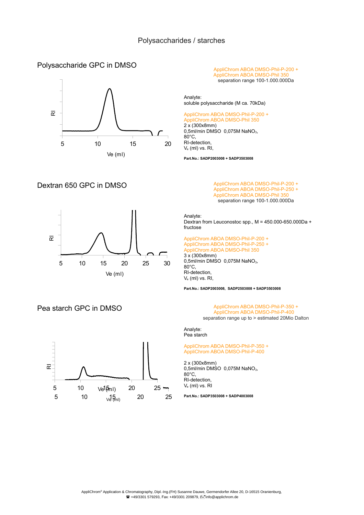Analyte:

80°C, RI-detection, Ve (ml) vs. RI,

2 x (300x8mm)

# Polysaccharide GPC in DMSO





# Dextran 650 GPC in DMSO AppliChrom ABOA DMSO-Phil-P-200 +

AppliChrom ABOA DMSO-Phil-P-200 +<br>AppliChrom ABOA DMSO-Phil 350 separation range 100-1.000.000Da

AppliChrom ABOA DMSO-Phil-P-250 + AppliChrom ABOA DMSO-Phil 350 separation range 100-1.000.000Da

Analyte: Dextran from Leuconostoc spp.,  $M = 450.000-650.000Da +$ fructose

AppliChrom ABOA DMSO-Phil-P-200 + AppliChrom ABOA DMSO-Phil-P-250 + AppliChrom ABOA DMSO-Phil 350 3 x (300x8mm)  $0.5$ ml/min DMSO  $0.075M$  NaNO<sub>3</sub>, 80°C, RI-detection, Ve (ml) vs. RI,

soluble polysaccharide (M ca. 70kDa) AppliChrom ABOA DMSO-Phil-P-200 + AppliChrom ABOA DMSO-Phil 350

 $2.6$  (sections), 0,075M NaNO<sub>3</sub>,

**Part.No.: SADP2003008 + SADP3503008**

**Part.No.: SADP2003008, SADP2503008 + SADP3503008**

#### Pea starch GPC in DMSO AppliChrom ABOA DMSO-Phil-P-350 + AppliChrom ABOA DMSO-Phil-P-400 separation range up to > estimated 20Mio Dalton

Analyte: Pea starch

#### AppliChrom ABOA DMSO-Phil-P-350 + AppliChrom ABOA DMSO-Phil-P-400

2 x (300x8mm) 0,5ml/min DMSO 0,075M NaNO<sub>3</sub>, 80°C, RI-detection, Ve (ml) vs. RI

**Part.No.: SADP3503008 + SADP4003008**



5 10  $\sqrt{35}$  20 25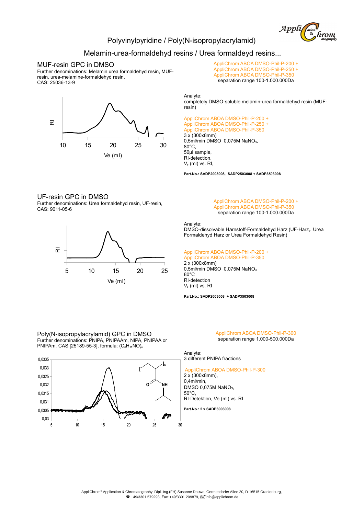

## Polyvinylpyridine / Poly(N-isopropylacrylamid)

## Melamin-urea-formaldehyd resins / Urea formaldeyd resins...

#### MUF-resin GPC in DMSO

Further denominations: Melamin urea formaldehyd resin, MUFresin, urea-melamine-formaldehyd resin, CAS: 25036-13-9



AppliChrom ABOA DMSO-Phil-P-200 + AppliChrom ABOA DMSO-Phil-P-250 + AppliChrom ABOA DMSO-Phil-P-350 separation range 100-1.000.000Da

Analyte:

completely DMSO-soluble melamin-urea formaldehyd resin (MUFresin)

AppliChrom ABOA DMSO-Phil-P-200 + AppliChrom ABOA DMSO-Phil-P-250 + AppliChrom ABOA DMSO-Phil-P-350 3 x (300x8mm)  $0.5$ ml/min DMSO  $0.075M$  NaNO<sub>3</sub>, 80°C, 50µl sample, RI-detection, Ve (ml) vs. RI,

**Part.No.: SADP2003008, SADP2503008 + SADP3503008**

#### UF-resin GPC in DMSO

Further denominations: Urea formaldehyd resin, UF-resin, CAS: 9011-05-6



#### AppliChrom ABOA DMSO-Phil-P-200 + AppliChrom ABOA DMSO-Phil-P-350 separation range 100-1.000.000Da

Analyte:

DMSO-dissolvable Harnstoff-Formaldehyd Harz (UF-Harz,. Urea Formaldehyd Harz or Urea Formaldehyd Resin)

AppliChrom ABOA DMSO-Phil-P-200 +

AppliChrom ABOA DMSO-Phil-P-350 2 x (300x8mm) 0,5ml/min DMSO 0,075M NaNO<sup>3</sup> 80°C RI-detection Ve (ml) vs. RI

**Part.No.: SADP2003008 + SADP3503008**

Poly(N-isopropylacrylamid) GPC in DMSO Further denominations: PNIPA, PNIPAAm, NIPA, PNIPAA or PNIPAm. CAS [25189-55-3], formula:  $(C_6H_{11}NO)_n$ 



AppliChrom ABOA DMSO-Phil-P-300 separation range 1.000-500.000Da

Analyte: 3 different PNIPA fractions

AppliChrom ABOA DMSO-Phil-P-300 2 x (300x8mm),

0,4ml/min, DMSO 0,075M NaNO<sub>3</sub>, 50°C, RI-Detektion, Ve (ml) vs. RI

**Part.No.: 2 x SADP3003008**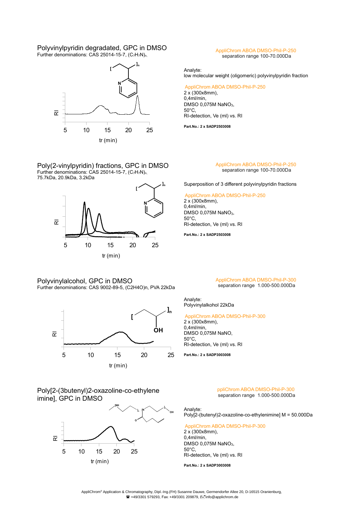#### Polyvinylpyridin degradated, GPC in DMSO Further denominations: CAS 25014-15-7,  $(C_7H_7N)_{n}$



Poly(2-vinylpyridin) fractions, GPC in DMSO Further denominations: CAS 25014-15-7,  $(C_7H_7N)_n$ 75.7kDa, 20.9kDa, 3.2kDa



Polyvinylalcohol, GPC in DMSO Further denominations: CAS 9002-89-5, (C2H4O)n, PVA 22kDa



# Poly[2-(3butenyl)2-oxazoline-co-ethylene imine], GPC in DMSO



AppliChrom ABOA DMSO-Phil-P-250 separation range 100-70.000Da

Analyte: low molecular weight (oligomeric) polyvinylpyridin fraction

#### AppliChrom ABOA DMSO-Phil-P-250

2 x (300x8mm), 0,4ml/min, DMSO 0,075M NaNO<sub>3</sub>, 50°C, RI-detection, Ve (ml) vs. RI

**Part.No.: 2 x SADP2503008**

#### AppliChrom ABOA DMSO-Phil-P-250 separation range 100-70.000Da

Superposition of 3 different polyvinylpyridin fractions

AppliChrom ABOA DMSO-Phil-P-250

2 x (300x8mm),  $0.4$ ml/min DMSO 0,075M NaNO<sub>3</sub>, 50°C, RI-detection, Ve (ml) vs. RI

**Part.No.: 2 x SADP2503008**

#### AppliChrom ABOA DMSO-Phil-P-300 separation range 1.000-500.000Da

Analyte: Polyvinylalkohol 22kDa

#### AppliChrom ABOA DMSO-Phil-P-300

2 x (300x8mm), 0,4ml/min, DMSO 0,075M NaNO,  $50^{\circ}$ C RI-detection, Ve (ml) vs. RI

**Part.No.: 2 x SADP3003008**

ppliChrom ABOA DMSO-Phil-P-300 separation range 1.000-500.000Da

Analyte: Poly[2-(butenyl)2-oxazoline-co-ethylenimine] M = 50.000Da

AppliChrom ABOA DMSO-Phil-P-300 2 x (300x8mm), 0,4ml/min, DMSO 0,075M NaNO<sub>3</sub>, 50°C, RI-detection, Ve (ml) vs. RI

**Part.No.: 2 x SADP3003008**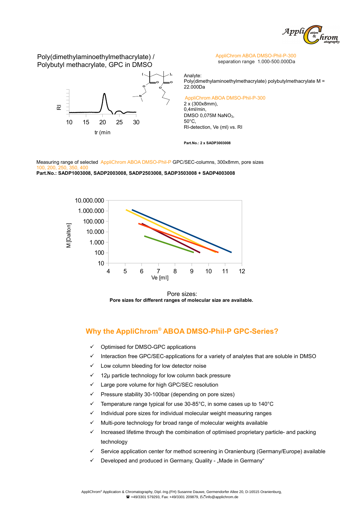

Poly(dimethylaminoethylmethacrylate) / Polybutyl methacrylate, GPC in DMSO



AppliChrom ABOA DMSO-Phil-P-300 separation range 1.000-500.000Da

Analyte: Poly(dimethylaminoethylmethacrylate) polybutylmethacrylate M = 22.000Da

AppliChrom ABOA DMSO-Phil-P-300

2 x (300x8mm),  $0.4$ ml/min DMSO 0,075M NaNO3,  $50^{\circ}$ C RI-detection, Ve (ml) vs. RI

**Part.No.: 2 x SADP3003008**

Measuring range of selected AppliChrom ABOA DMSO-Phil-P GPC/SEC-columns, 300x8mm, pore sizes 100, 200

**Part.No.: SADP1003008, SADP2003008, SADP2503008, SADP3503008 + SADP4003008**



Pore sizes: **Pore sizes for different ranges of molecular size are available.** 

# **Why the AppliChrom® ABOA DMSO-Phil-P GPC-Series?**

- Optimised for DMSO-GPC applications
- Interaction free GPC/SEC-applications for a variety of analytes that are soluble in DMSO
- Low column bleeding for low detector noise
- $\checkmark$  12µ particle technology for low column back pressure
- Large pore volume for high GPC/SEC resolution
- $\checkmark$  Pressure stability 30-100bar (depending on pore sizes)
- Temperature range typical for use 30-85°C, in some cases up to 140°C
- Individual pore sizes for individual molecular weight measuring ranges
- Multi-pore technology for broad range of molecular weights available
- Increased lifetime through the combination of optimised proprietary particle- and packing technology
- $\checkmark$  Service application center for method screening in Oranienburg (Germany/Europe) available
- $\checkmark$  Developed and produced in Germany, Quality "Made in Germany"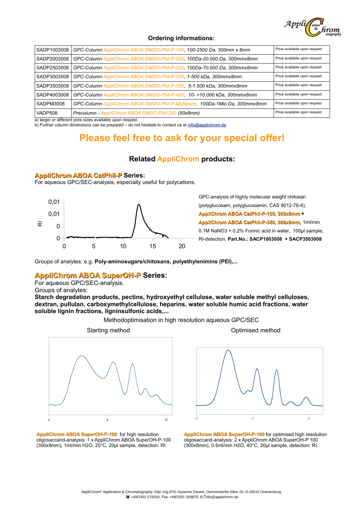

#### **Ordering informations:**

| SADP1003008 | GPC-Column AppliChrom ABOA DMSO-Phil-P-100, 100-2500 Da, 300mm x 8mm       | Price available upon request |
|-------------|----------------------------------------------------------------------------|------------------------------|
| SADP2003008 | GPC-Column AppliChrom ABOA DMSO-Phil-P-200, 100Da-20.000 Da, 300mmx8mm     | Price available upon request |
| SADP2503008 | GPC-Column AppliChrom ABOA DMSO-Phil-P-250, 100Da-70.000 Da, 300mmx8mm     | Price available upon request |
| SADP3003008 | GPC-Column AppliChrom ABOA DMSO-Phil-P-300, 1-500 kDa, 300mmx8mm           | Price available upon request |
| SADP3503008 | GPC-Column AppliChrom ABOA DMSO-Phil-P-350, 5-1.500 kDa, 300mmx8mm         | Price available upon request |
| SADP4003008 | GPC-Column AppliChrom ABOA DMSO-Phil-P-400, 10->10.000 kDa, 300mmx8mm      | Price available upon request |
| SADPM3008   | GPC-Column AppliChrom ABOA DMSO-Phil-P-Multipore, 100Da-1Mio Da, 300mmx8mm | Price available upon request |
| VADP508     | Precolumn - AppliChrom ABOA DMSO-Phil-200 (50x8mm)                         | Price available upon request |

a) larger or different pore sizes available upon request.

b) Further column dimensions can be prepared – do not hesitate to contact us at [info@applichrom.de](mailto:info@applichrom.de)

# **Please feel free to ask for your special offer!**

## **Related AppliChrom products:**

#### **AppliChrom ABOA CatPhil-P Series:**

For aqueous GPC/SEC-analysis, especially useful for polycations.



GPC-analysis of highly molecular weight chitosan (polyglucosam, polyglucosamin, CAS 9012-76-4), **AppliChrom ABOA CatPhil-P-100, 300x8mm + AppliChrom ABOA CatPhil-P-350, 300x8mm,** 1ml/min 0.1M NaNO3 + 0,2% Formic acid in water, 100µl sample, RI-detection. **Part.No.: SACP1003008 + SACP3503008** 

Groups of analytes: e.g. Poly-aminosugars/chitosans, polyethylenimins (PEI),...

## **AppliChrom ABOA SuperOH-P Series:**

For aqueous GPC/SEC-analysis. Groups of analytes:

**Starch degradation products, pectins, hydroxyethyl cellulose, water soluble methyl celluloses, dextran, pullulan, carboxymethylcellulose, heparins, water soluble humic acid fractions, water soluble lignin fractions, ligninsulfonic acids,...** 

Methodoptimisation in high resolution aqueous GPC/SEC





**AppliChrom ABOA SuperOH-P-100** for optimised high resolution oligosaccarid-analysis: 2 x AppliChrom ABOA SuperOH-P 100 (300x8mm), 0.5ml/min H2O, 40°C, 20µl sample, detection: RI.

**AppliChrom ABOA SuperOH-P-100** for high resolution oligosaccarid-analysis: 1 x AppliChrom ABOA SuperOH-P-100 (300x8mm), 1ml/min H2O, 20°C, 20µl sample, detection: RI.